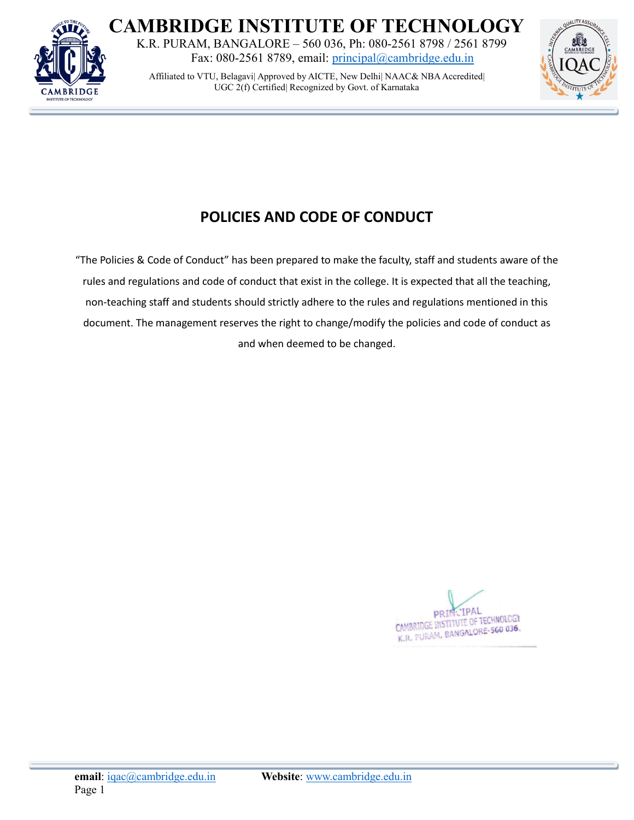

K.R. PURAM, BANGALORE – 560 036, Ph: 080-2561 8798 / 2561 8799 Fax: 080-2561 8789, email: [principal@cambridge.edu.in](mailto:principal@cambridge.edu.in)

Affiliated to VTU, Belagavi| Approved by AICTE, New Delhi| NAAC& NBA Accredited| UGC 2(f) Certified| Recognized by Govt. of Karnataka



### **POLICIES AND CODE OF CONDUCT**

"The Policies & Code of Conduct" has been prepared to make the faculty, staff and students aware of the rules and regulations and code of conduct that exist in the college. It is expected that all the teaching, non-teaching staff and students should strictly adhere to the rules and regulations mentioned in this document. The management reserves the right to change/modify the policies and code of conduct as and when deemed to be changed.

**PRINCIPAL** PRINCIPAL<br>CAMBRIDGE INSTITUTE OF TECHNOLOGY CAMBRIDGE INSTITUTE OF TECHNOLOGY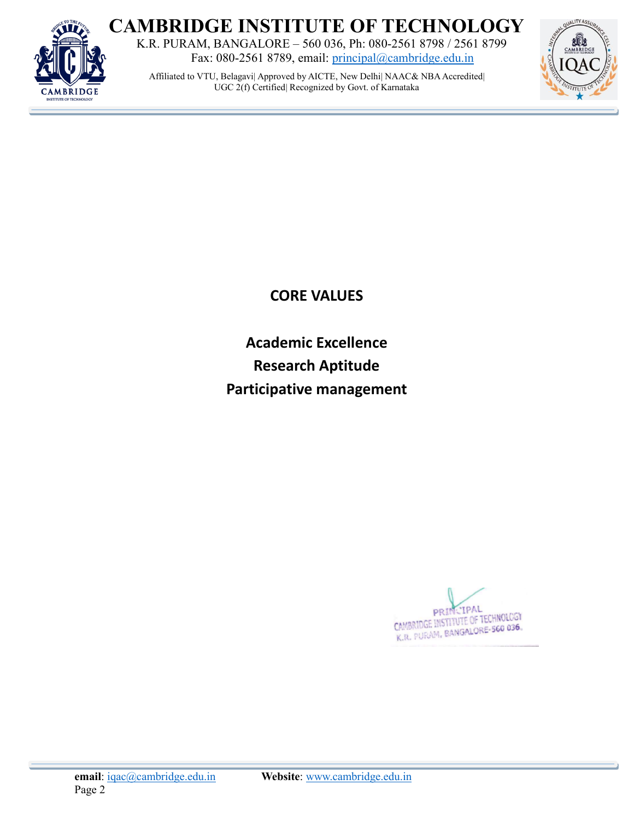

K.R. PURAM, BANGALORE – 560 036, Ph: 080-2561 8798 / 2561 8799 Fax: 080-2561 8789, email: [principal@cambridge.edu.in](mailto:principal@cambridge.edu.in)

Affiliated to VTU, Belagavi| Approved by AICTE, New Delhi| NAAC& NBA Accredited| UGC 2(f) Certified| Recognized by Govt. of Karnataka



**CORE VALUES**

**Academic Excellence Research Aptitude Participative management**

**PRINCIPAL** PRINCIPAL<br>CAMBRIDGE INSTITUTE OF TECHNOLOGY CAMBRIDGE INSTITUTE OF TECHNOLOGY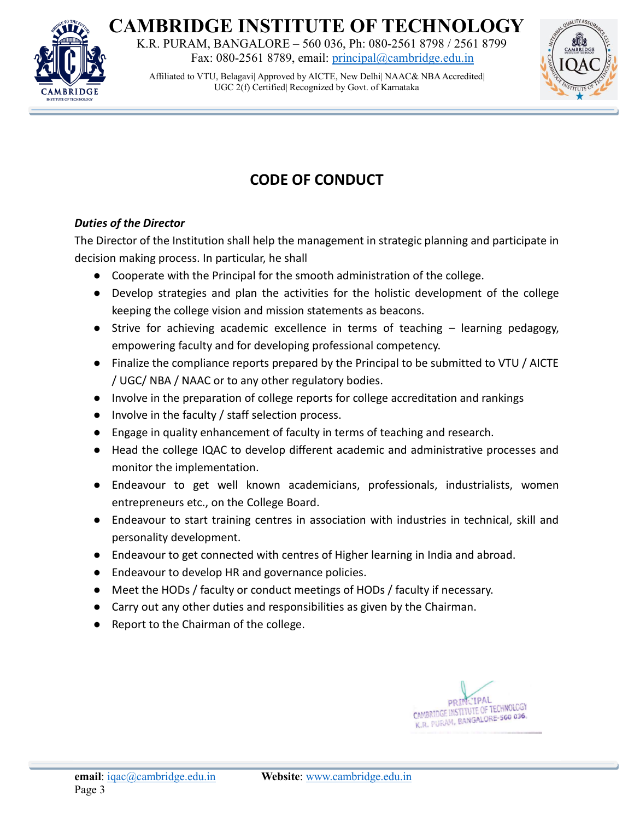**AMBRIDGE** 

K.R. PURAM, BANGALORE – 560 036, Ph: 080-2561 8798 / 2561 8799 Fax: 080-2561 8789, email: [principal@cambridge.edu.in](mailto:principal@cambridge.edu.in)

Affiliated to VTU, Belagavi| Approved by AICTE, New Delhi| NAAC& NBA Accredited| UGC 2(f) Certified| Recognized by Govt. of Karnataka



### **CODE OF CONDUCT**

#### *Duties of the Director*

The Director of the Institution shall help the management in strategic planning and participate in decision making process. In particular, he shall

- Cooperate with the Principal for the smooth administration of the college.
- Develop strategies and plan the activities for the holistic development of the college keeping the college vision and mission statements as beacons.
- Strive for achieving academic excellence in terms of teaching learning pedagogy, empowering faculty and for developing professional competency.
- Finalize the compliance reports prepared by the Principal to be submitted to VTU / AICTE / UGC/ NBA / NAAC or to any other regulatory bodies.
- Involve in the preparation of college reports for college accreditation and rankings
- Involve in the faculty / staff selection process.
- Engage in quality enhancement of faculty in terms of teaching and research.
- Head the college IQAC to develop different academic and administrative processes and monitor the implementation.
- Endeavour to get well known academicians, professionals, industrialists, women entrepreneurs etc., on the College Board.
- Endeavour to start training centres in association with industries in technical, skill and personality development.
- Endeavour to get connected with centres of Higher learning in India and abroad.
- Endeavour to develop HR and governance policies.
- Meet the HODs / faculty or conduct meetings of HODs / faculty if necessary.
- Carry out any other duties and responsibilities as given by the Chairman.
- Report to the Chairman of the college.

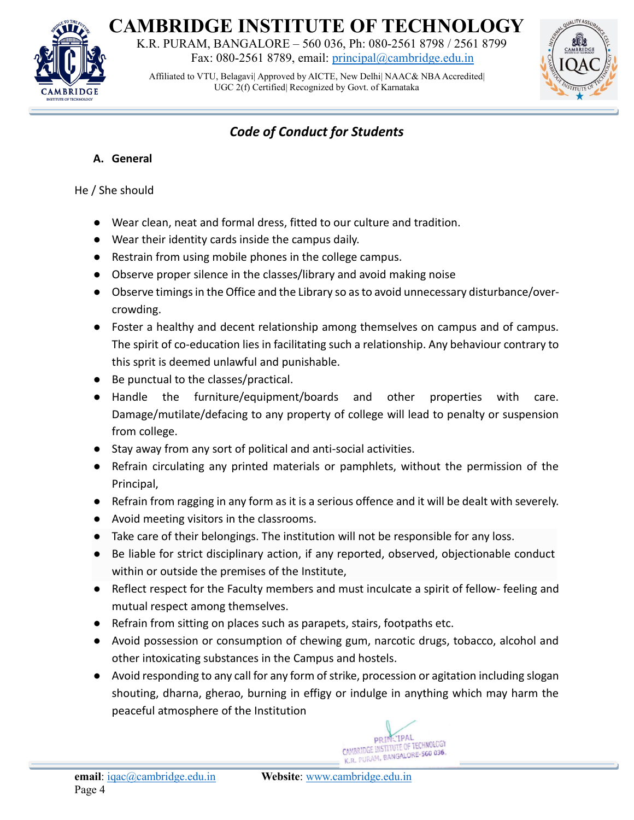

K.R. PURAM, BANGALORE – 560 036, Ph: 080-2561 8798 / 2561 8799 Fax: 080-2561 8789, email: [principal@cambridge.edu.in](mailto:principal@cambridge.edu.in)

Affiliated to VTU, Belagavi| Approved by AICTE, New Delhi| NAAC& NBA Accredited| UGC 2(f) Certified| Recognized by Govt. of Karnataka



### *Code of Conduct for Students*

#### **A. General**

He / She should

- Wear clean, neat and formal dress, fitted to our culture and tradition.
- Wear their identity cards inside the campus daily.
- Restrain from using mobile phones in the college campus.
- Observe proper silence in the classes/library and avoid making noise
- Observe timings in the Office and the Library so as to avoid unnecessary disturbance/overcrowding.
- Foster a healthy and decent relationship among themselves on campus and of campus. The spirit of co-education lies in facilitating such a relationship. Any behaviour contrary to this sprit is deemed unlawful and punishable.
- Be punctual to the classes/practical.
- Handle the furniture/equipment/boards and other properties with care. Damage/mutilate/defacing to any property of college will lead to penalty or suspension from college.
- Stay away from any sort of political and anti-social activities.
- Refrain circulating any printed materials or pamphlets, without the permission of the Principal,
- Refrain from ragging in any form as it is a serious offence and it will be dealt with severely.
- Avoid meeting visitors in the classrooms.
- Take care of their belongings. The institution will not be responsible for any loss.
- Be liable for strict disciplinary action, if any reported, observed, objectionable conduct within or outside the premises of the Institute,
- Reflect respect for the Faculty members and must inculcate a spirit of fellow- feeling and mutual respect among themselves.
- Refrain from sitting on places such as parapets, stairs, footpaths etc.
- Avoid possession or consumption of chewing gum, narcotic drugs, tobacco, alcohol and other intoxicating substances in the Campus and hostels.
- Avoid responding to any call for any form of strike, procession or agitation including slogan shouting, dharna, gherao, burning in effigy or indulge in anything which may harm the peaceful atmosphere of the Institution

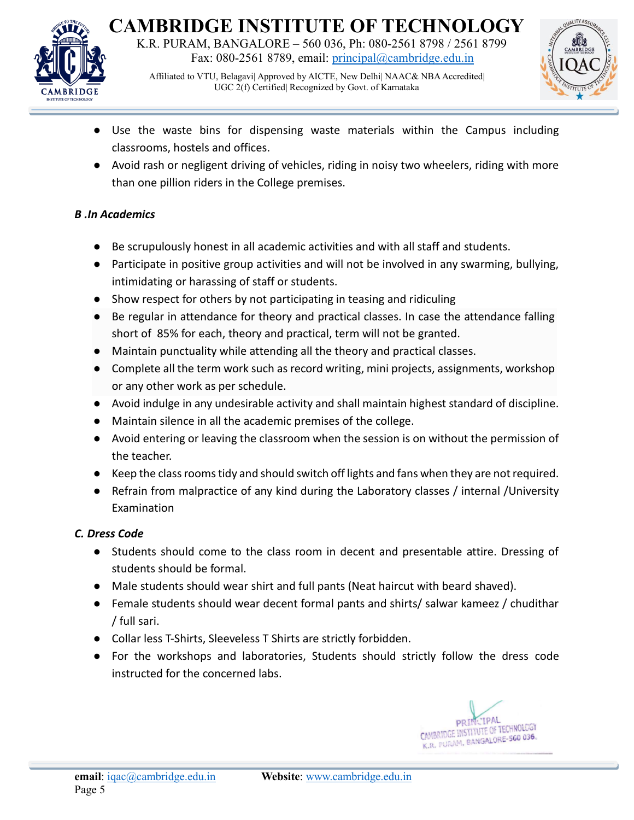

K.R. PURAM, BANGALORE – 560 036, Ph: 080-2561 8798 / 2561 8799 Fax: 080-2561 8789, email: [principal@cambridge.edu.in](mailto:principal@cambridge.edu.in)

Affiliated to VTU, Belagavi| Approved by AICTE, New Delhi| NAAC& NBA Accredited| UGC 2(f) Certified| Recognized by Govt. of Karnataka



- Use the waste bins for dispensing waste materials within the Campus including classrooms, hostels and offices.
- Avoid rash or negligent driving of vehicles, riding in noisy two wheelers, riding with more than one pillion riders in the College premises.

#### *B .In Academics*

- Be scrupulously honest in all academic activities and with all staff and students.
- Participate in positive group activities and will not be involved in any swarming, bullying, intimidating or harassing of staff or students.
- Show respect for others by not participating in teasing and ridiculing
- Be regular in attendance for theory and practical classes. In case the attendance falling short of 85% for each, theory and practical, term will not be granted.
- Maintain punctuality while attending all the theory and practical classes.
- Complete all the term work such as record writing, mini projects, assignments, workshop or any other work as per schedule.
- Avoid indulge in any undesirable activity and shall maintain highest standard of discipline.
- Maintain silence in all the academic premises of the college.
- Avoid entering or leaving the classroom when the session is on without the permission of the teacher.
- Keep the class rooms tidy and should switch off lights and fans when they are not required.
- Refrain from malpractice of any kind during the Laboratory classes / internal /University Examination

#### *C. Dress Code*

- Students should come to the class room in decent and presentable attire. Dressing of students should be formal.
- Male students should wear shirt and full pants (Neat haircut with beard shaved).
- Female students should wear decent formal pants and shirts/ salwar kameez / chudithar / full sari.
- Collar less T-Shirts, Sleeveless T Shirts are strictly forbidden.
- For the workshops and laboratories, Students should strictly follow the dress code instructed for the concerned labs.

**PRINCIPAL** PRINCIPAL<br>CAMBRIDGE INSTITUTE OF TECHNOLOGY CAMBRIDGE INSTITUTE OF TECHNOLOGICAL CAMBRIDGE INSTITUTE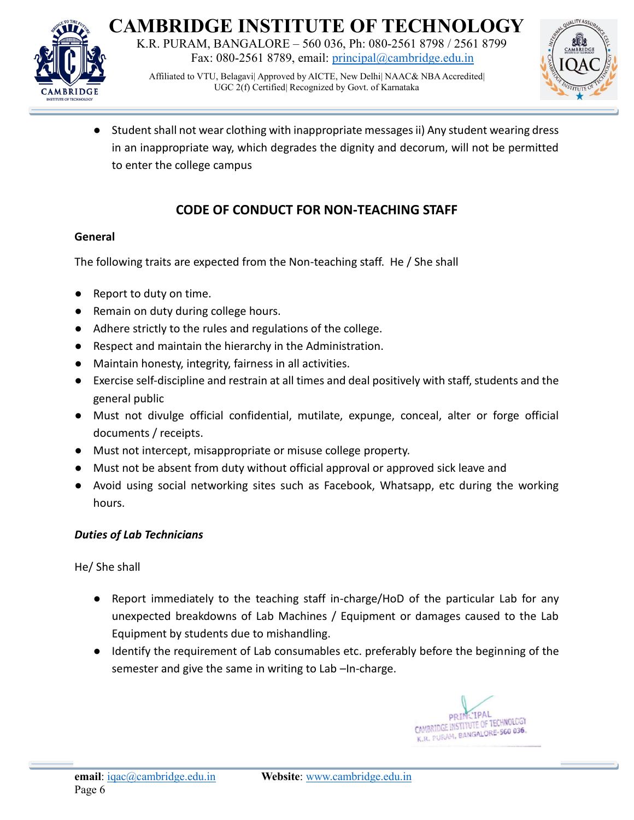

K.R. PURAM, BANGALORE – 560 036, Ph: 080-2561 8798 / 2561 8799 Fax: 080-2561 8789, email: [principal@cambridge.edu.in](mailto:principal@cambridge.edu.in)

Affiliated to VTU, Belagavi| Approved by AICTE, New Delhi| NAAC& NBAAccredited| UGC 2(f) Certified| Recognized by Govt. of Karnataka



● Student shall not wear clothing with inappropriate messages ii) Any student wearing dress in an inappropriate way, which degrades the dignity and decorum, will not be permitted to enter the college campus

#### **CODE OF CONDUCT FOR NON-TEACHING STAFF**

#### **General**

The following traits are expected from the Non-teaching staff. He / She shall

- Report to duty on time.
- Remain on duty during college hours.
- Adhere strictly to the rules and regulations of the college.
- Respect and maintain the hierarchy in the Administration.
- Maintain honesty, integrity, fairness in all activities.
- Exercise self-discipline and restrain at all times and deal positively with staff, students and the general public
- Must not divulge official confidential, mutilate, expunge, conceal, alter or forge official documents / receipts.
- Must not intercept, misappropriate or misuse college property.
- Must not be absent from duty without official approval or approved sick leave and
- Avoid using social networking sites such as Facebook, Whatsapp, etc during the working hours.

#### *Duties of Lab Technicians*

He/ She shall

- Report immediately to the teaching staff in-charge/HoD of the particular Lab for any unexpected breakdowns of Lab Machines / Equipment or damages caused to the Lab Equipment by students due to mishandling.
- Identify the requirement of Lab consumables etc. preferably before the beginning of the semester and give the same in writing to Lab –In-charge.